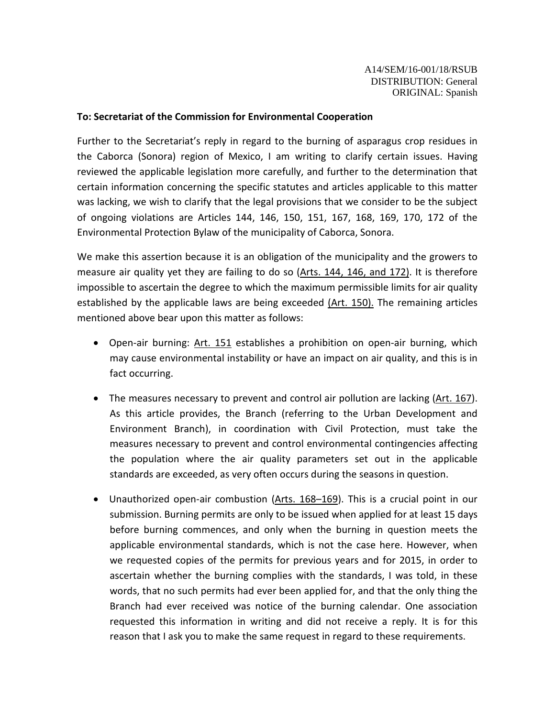## **To: Secretariat of the Commission for Environmental Cooperation**

Further to the Secretariat's reply in regard to the burning of asparagus crop residues in the Caborca (Sonora) region of Mexico, I am writing to clarify certain issues. Having reviewed the applicable legislation more carefully, and further to the determination that certain information concerning the specific statutes and articles applicable to this matter was lacking, we wish to clarify that the legal provisions that we consider to be the subject of ongoing violations are Articles 144, 146, 150, 151, 167, 168, 169, 170, 172 of the Environmental Protection Bylaw of the municipality of Caborca, Sonora.

We make this assertion because it is an obligation of the municipality and the growers to measure air quality yet they are failing to do so (Arts. 144, 146, and 172). It is therefore impossible to ascertain the degree to which the maximum permissible limits for air quality established by the applicable laws are being exceeded  $(Art. 150)$ . The remaining articles mentioned above bear upon this matter as follows:

- Open-air burning: Art. 151 establishes a prohibition on open-air burning, which may cause environmental instability or have an impact on air quality, and this is in fact occurring.
- The measures necessary to prevent and control air pollution are lacking (Art. 167). As this article provides, the Branch (referring to the Urban Development and Environment Branch), in coordination with Civil Protection, must take the measures necessary to prevent and control environmental contingencies affecting the population where the air quality parameters set out in the applicable standards are exceeded, as very often occurs during the seasons in question.
- Unauthorized open-air combustion (Arts. 168–169). This is a crucial point in our submission. Burning permits are only to be issued when applied for at least 15 days before burning commences, and only when the burning in question meets the applicable environmental standards, which is not the case here. However, when we requested copies of the permits for previous years and for 2015, in order to ascertain whether the burning complies with the standards, I was told, in these words, that no such permits had ever been applied for, and that the only thing the Branch had ever received was notice of the burning calendar. One association requested this information in writing and did not receive a reply. It is for this reason that I ask you to make the same request in regard to these requirements.